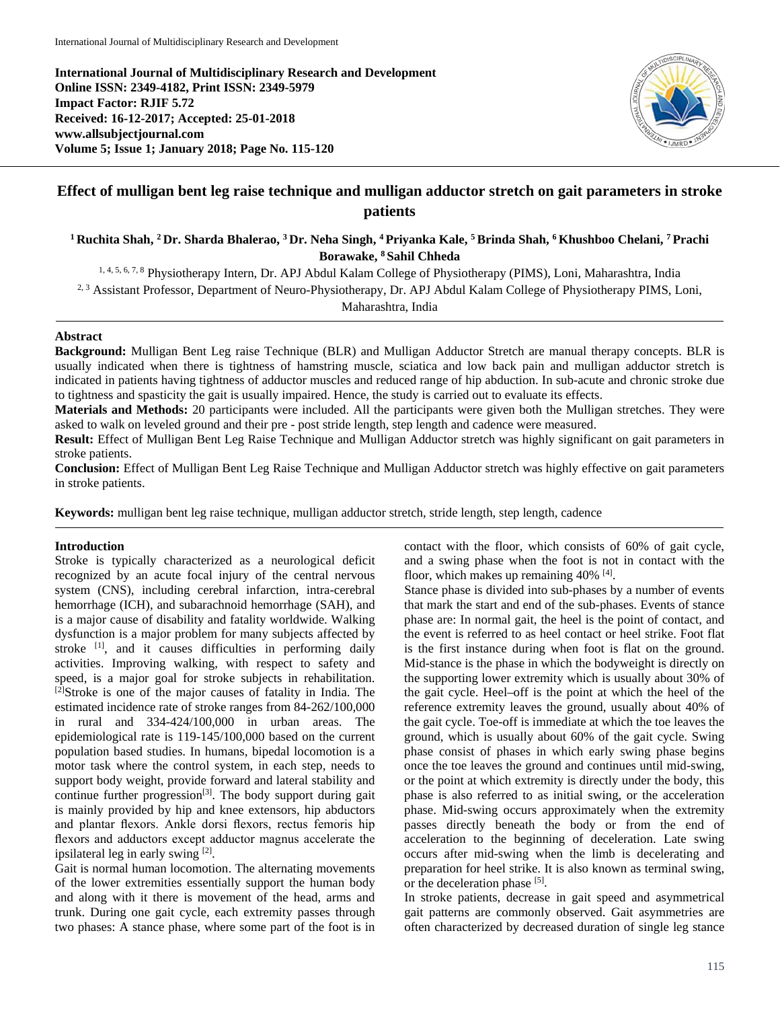**International Journal of Multidisciplinary Research and Development Online ISSN: 2349-4182, Print ISSN: 2349-5979 Impact Factor: RJIF 5.72 Received: 16-12-2017; Accepted: 25-01-2018 www.allsubjectjournal.com Volume 5; Issue 1; January 2018; Page No. 115-120**



# **Effect of mulligan bent leg raise technique and mulligan adductor stretch on gait parameters in stroke patients**

**1 Ruchita Shah, 2 Dr. Sharda Bhalerao, 3 Dr. Neha Singh, 4 Priyanka Kale, 5 Brinda Shah, 6 Khushboo Chelani, 7 Prachi Borawake, 8 Sahil Chheda**

1, 4, 5, 6, 7, 8 Physiotherapy Intern, Dr. APJ Abdul Kalam College of Physiotherapy (PIMS), Loni, Maharashtra, India

<sup>2, 3</sup> Assistant Professor, Department of Neuro-Physiotherapy, Dr. APJ Abdul Kalam College of Physiotherapy PIMS, Loni,

Maharashtra, India

## **Abstract**

**Background:** Mulligan Bent Leg raise Technique (BLR) and Mulligan Adductor Stretch are manual therapy concepts. BLR is usually indicated when there is tightness of hamstring muscle, sciatica and low back pain and mulligan adductor stretch is indicated in patients having tightness of adductor muscles and reduced range of hip abduction. In sub-acute and chronic stroke due to tightness and spasticity the gait is usually impaired. Hence, the study is carried out to evaluate its effects.

**Materials and Methods:** 20 participants were included. All the participants were given both the Mulligan stretches. They were asked to walk on leveled ground and their pre - post stride length, step length and cadence were measured.

**Result:** Effect of Mulligan Bent Leg Raise Technique and Mulligan Adductor stretch was highly significant on gait parameters in stroke patients.

**Conclusion:** Effect of Mulligan Bent Leg Raise Technique and Mulligan Adductor stretch was highly effective on gait parameters in stroke patients.

**Keywords:** mulligan bent leg raise technique, mulligan adductor stretch, stride length, step length, cadence

## **Introduction**

Stroke is typically characterized as a neurological deficit recognized by an acute focal injury of the central nervous system (CNS), including cerebral infarction, intra-cerebral hemorrhage (ICH), and subarachnoid hemorrhage (SAH), and is a major cause of disability and fatality worldwide. Walking dysfunction is a major problem for many subjects affected by stroke <sup>[1]</sup>, and it causes difficulties in performing daily activities. Improving walking, with respect to safety and speed, is a major goal for stroke subjects in rehabilitation. [2]Stroke is one of the major causes of fatality in India. The estimated incidence rate of stroke ranges from 84-262/100,000 in rural and 334-424/100,000 in urban areas. The epidemiological rate is 119-145/100,000 based on the current population based studies. In humans, bipedal locomotion is a motor task where the control system, in each step, needs to support body weight, provide forward and lateral stability and continue further progression<sup>[3]</sup>. The body support during gait is mainly provided by hip and knee extensors, hip abductors and plantar flexors. Ankle dorsi flexors, rectus femoris hip flexors and adductors except adductor magnus accelerate the ipsilateral leg in early swing [2].

Gait is normal human locomotion. The alternating movements of the lower extremities essentially support the human body and along with it there is movement of the head, arms and trunk. During one gait cycle, each extremity passes through two phases: A stance phase, where some part of the foot is in contact with the floor, which consists of 60% of gait cycle, and a swing phase when the foot is not in contact with the floor, which makes up remaining 40% <sup>[4]</sup>.

Stance phase is divided into sub-phases by a number of events that mark the start and end of the sub-phases. Events of stance phase are: In normal gait, the heel is the point of contact, and the event is referred to as heel contact or heel strike. Foot flat is the first instance during when foot is flat on the ground. Mid-stance is the phase in which the bodyweight is directly on the supporting lower extremity which is usually about 30% of the gait cycle. Heel–off is the point at which the heel of the reference extremity leaves the ground, usually about 40% of the gait cycle. Toe-off is immediate at which the toe leaves the ground, which is usually about 60% of the gait cycle. Swing phase consist of phases in which early swing phase begins once the toe leaves the ground and continues until mid-swing, or the point at which extremity is directly under the body, this phase is also referred to as initial swing, or the acceleration phase. Mid-swing occurs approximately when the extremity passes directly beneath the body or from the end of acceleration to the beginning of deceleration. Late swing occurs after mid-swing when the limb is decelerating and preparation for heel strike. It is also known as terminal swing, or the deceleration phase [5].

In stroke patients, decrease in gait speed and asymmetrical gait patterns are commonly observed. Gait asymmetries are often characterized by decreased duration of single leg stance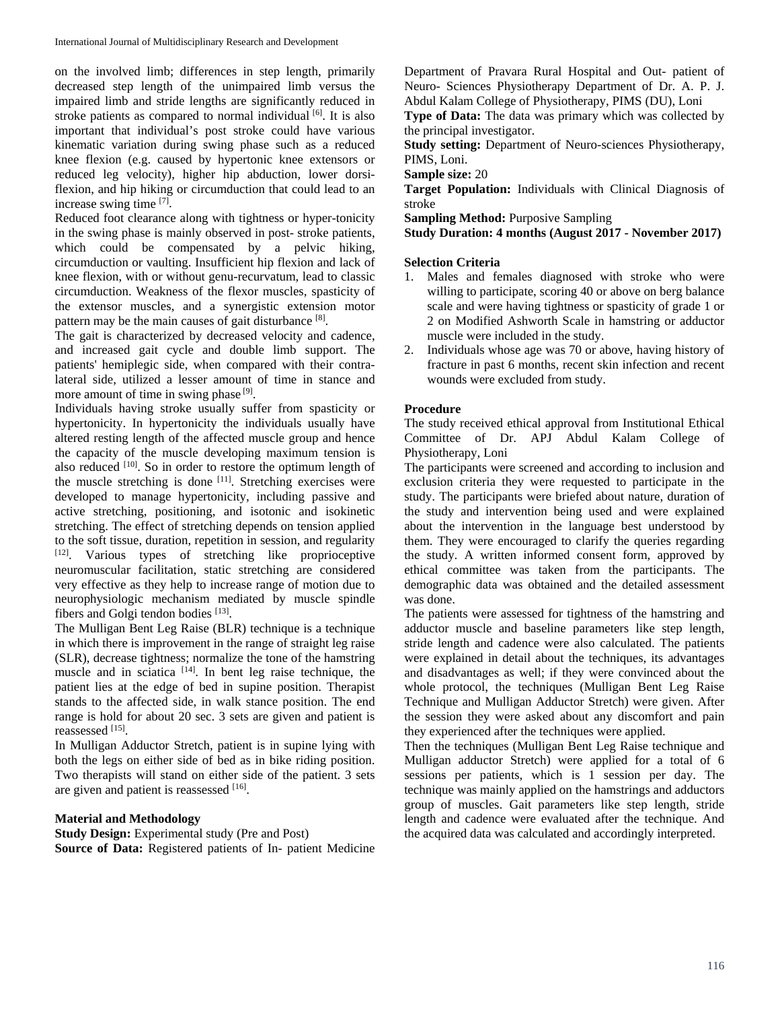on the involved limb; differences in step length, primarily decreased step length of the unimpaired limb versus the impaired limb and stride lengths are significantly reduced in stroke patients as compared to normal individual [6]. It is also important that individual's post stroke could have various kinematic variation during swing phase such as a reduced knee flexion (e.g. caused by hypertonic knee extensors or reduced leg velocity), higher hip abduction, lower dorsiflexion, and hip hiking or circumduction that could lead to an increase swing time [7].

Reduced foot clearance along with tightness or hyper-tonicity in the swing phase is mainly observed in post- stroke patients, which could be compensated by a pelvic hiking, circumduction or vaulting. Insufficient hip flexion and lack of knee flexion, with or without genu-recurvatum, lead to classic circumduction. Weakness of the flexor muscles, spasticity of the extensor muscles, and a synergistic extension motor pattern may be the main causes of gait disturbance [8].

The gait is characterized by decreased velocity and cadence, and increased gait cycle and double limb support. The patients' hemiplegic side, when compared with their contralateral side, utilized a lesser amount of time in stance and more amount of time in swing phase  $[9]$ .

Individuals having stroke usually suffer from spasticity or hypertonicity. In hypertonicity the individuals usually have altered resting length of the affected muscle group and hence the capacity of the muscle developing maximum tension is also reduced [10]. So in order to restore the optimum length of the muscle stretching is done  $[11]$ . Stretching exercises were developed to manage hypertonicity, including passive and active stretching, positioning, and isotonic and isokinetic stretching. The effect of stretching depends on tension applied to the soft tissue, duration, repetition in session, and regularity [12]. Various types of stretching like proprioceptive neuromuscular facilitation, static stretching are considered very effective as they help to increase range of motion due to neurophysiologic mechanism mediated by muscle spindle fibers and Golgi tendon bodies [13].

The Mulligan Bent Leg Raise (BLR) technique is a technique in which there is improvement in the range of straight leg raise (SLR), decrease tightness; normalize the tone of the hamstring muscle and in sciatica [14]. In bent leg raise technique, the patient lies at the edge of bed in supine position. Therapist stands to the affected side, in walk stance position. The end range is hold for about 20 sec. 3 sets are given and patient is reassessed [15].

In Mulligan Adductor Stretch, patient is in supine lying with both the legs on either side of bed as in bike riding position. Two therapists will stand on either side of the patient. 3 sets are given and patient is reassessed [16].

### **Material and Methodology**

**Study Design:** Experimental study (Pre and Post) **Source of Data:** Registered patients of In- patient Medicine Department of Pravara Rural Hospital and Out- patient of Neuro- Sciences Physiotherapy Department of Dr. A. P. J. Abdul Kalam College of Physiotherapy, PIMS (DU), Loni

**Type of Data:** The data was primary which was collected by the principal investigator.

**Study setting:** Department of Neuro-sciences Physiotherapy, PIMS, Loni.

**Sample size:** 20

**Target Population:** Individuals with Clinical Diagnosis of stroke

**Sampling Method: Purposive Sampling** 

**Study Duration: 4 months (August 2017 - November 2017)**

### **Selection Criteria**

- 1. Males and females diagnosed with stroke who were willing to participate, scoring 40 or above on berg balance scale and were having tightness or spasticity of grade 1 or 2 on Modified Ashworth Scale in hamstring or adductor muscle were included in the study.
- 2. Individuals whose age was 70 or above, having history of fracture in past 6 months, recent skin infection and recent wounds were excluded from study.

### **Procedure**

The study received ethical approval from Institutional Ethical Committee of Dr. APJ Abdul Kalam College of Physiotherapy, Loni

The participants were screened and according to inclusion and exclusion criteria they were requested to participate in the study. The participants were briefed about nature, duration of the study and intervention being used and were explained about the intervention in the language best understood by them. They were encouraged to clarify the queries regarding the study. A written informed consent form, approved by ethical committee was taken from the participants. The demographic data was obtained and the detailed assessment was done.

The patients were assessed for tightness of the hamstring and adductor muscle and baseline parameters like step length, stride length and cadence were also calculated. The patients were explained in detail about the techniques, its advantages and disadvantages as well; if they were convinced about the whole protocol, the techniques (Mulligan Bent Leg Raise Technique and Mulligan Adductor Stretch) were given. After the session they were asked about any discomfort and pain they experienced after the techniques were applied.

Then the techniques (Mulligan Bent Leg Raise technique and Mulligan adductor Stretch) were applied for a total of 6 sessions per patients, which is 1 session per day. The technique was mainly applied on the hamstrings and adductors group of muscles. Gait parameters like step length, stride length and cadence were evaluated after the technique. And the acquired data was calculated and accordingly interpreted.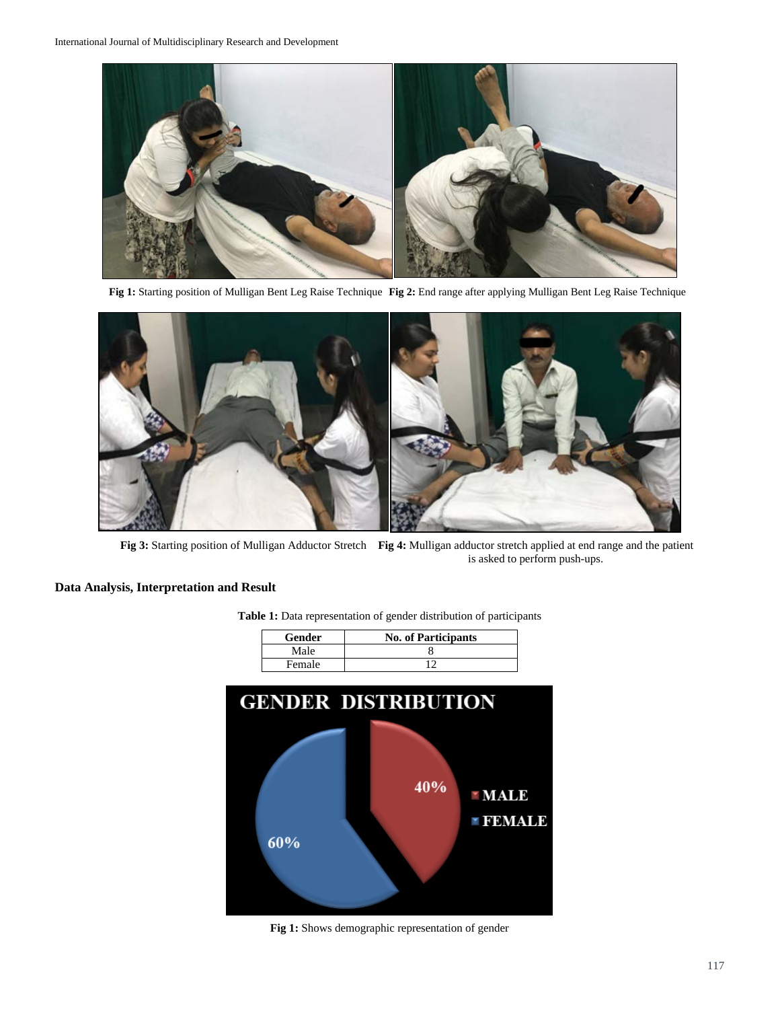

**Fig 1:** Starting position of Mulligan Bent Leg Raise Technique **Fig 2:** End range after applying Mulligan Bent Leg Raise Technique



**Fig 3:** Starting position of Mulligan Adductor Stretch **Fig 4:** Mulligan adductor stretch applied at end range and the patient is asked to perform push-ups.

# **Data Analysis, Interpretation and Result**

| <b>Gender</b> | <b>No. of Participants</b> |
|---------------|----------------------------|
| Male          |                            |
| Female        |                            |

**Table 1:** Data representation of gender distribution of participants



**Fig 1:** Shows demographic representation of gender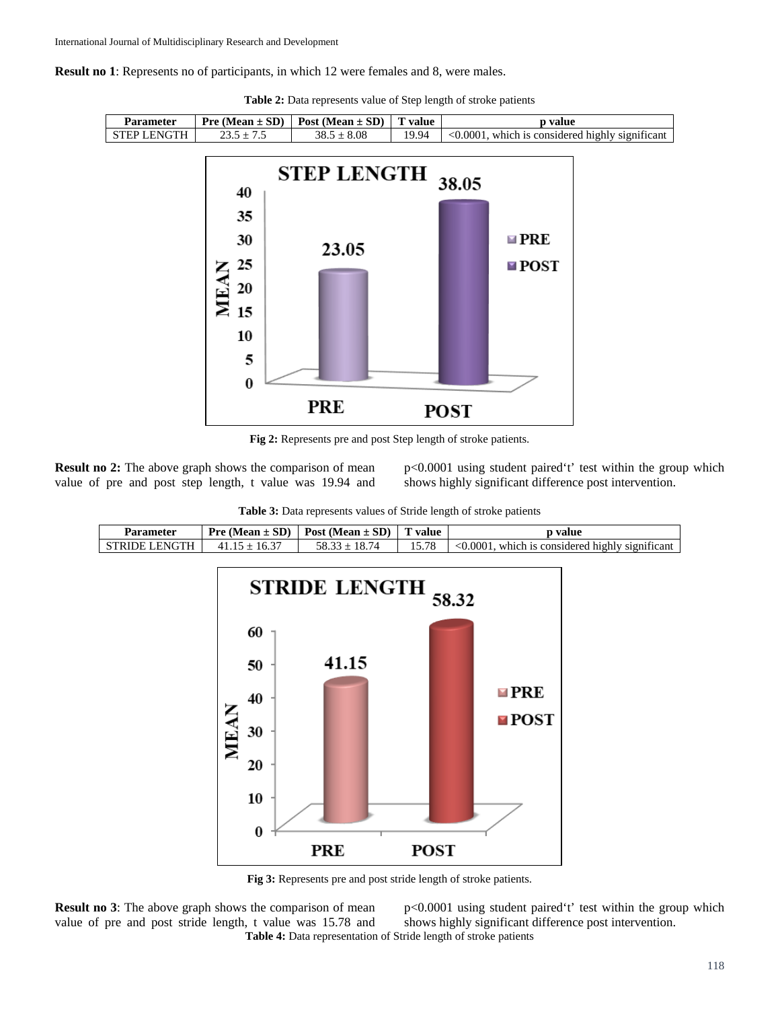**Result no 1**: Represents no of participants, in which 12 were females and 8, were males.

| <b>Parameter</b>   |              | <b>Pre</b> (Mean $\pm$ SD)   Post (Mean $\pm$ SD)   T value |       | p value                                                |
|--------------------|--------------|-------------------------------------------------------------|-------|--------------------------------------------------------|
| <b>STEP LENGTH</b> | $23.5 + 7.5$ | $38.5 + 8.08$                                               | 19.94 | $\leq 0.0001$ , which is considered highly significant |

**Table 2:** Data represents value of Step length of stroke patients



**Fig 2:** Represents pre and post Step length of stroke patients.

**Result no 2:** The above graph shows the comparison of mean value of pre and post step length, t value was 19.94 and p<0.0001 using student paired't' test within the group which shows highly significant difference post intervention.

| <b>Table 3:</b> Data represents values of Stride length of stroke patients |  |  |  |
|----------------------------------------------------------------------------|--|--|--|
|----------------------------------------------------------------------------|--|--|--|



**Fig 3:** Represents pre and post stride length of stroke patients.

**PRE** 

**POST** 

**Result no 3:** The above graph shows the comparison of mean value of pre and post stride length, t value was 15.78 and **Table 4:** Data representation of Stride length of stroke patients

p<0.0001 using student paired't' test within the group which shows highly significant difference post intervention.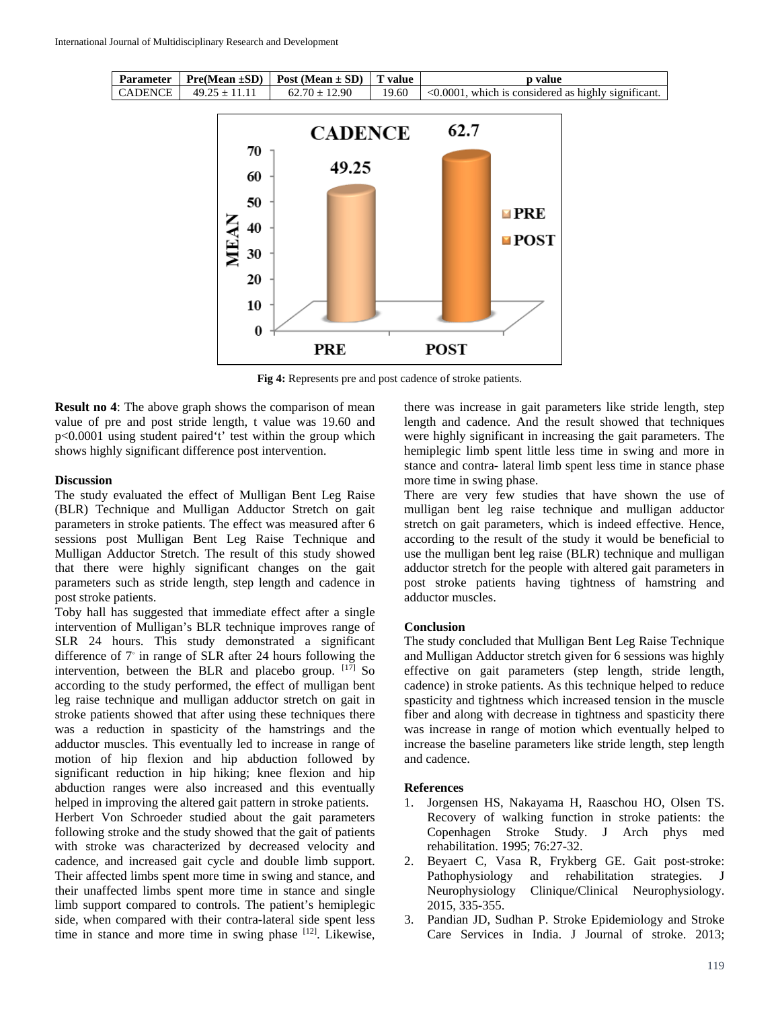| Parameter |                             | $\mid$ Pre(Mean $\pm$ SD) $\mid$ Post (Mean $\pm$ SD) $\mid$ T value | <b>p</b> value                                                     |
|-----------|-----------------------------|----------------------------------------------------------------------|--------------------------------------------------------------------|
|           | CADENCE   $49.25 \pm 11.11$ | $62.70 + 12.90$                                                      | $19.60$ $\leq 0.0001$ , which is considered as highly significant. |



**Fig 4:** Represents pre and post cadence of stroke patients.

**Result no 4**: The above graph shows the comparison of mean value of pre and post stride length, t value was 19.60 and p<0.0001 using student paired't' test within the group which shows highly significant difference post intervention.

#### **Discussion**

The study evaluated the effect of Mulligan Bent Leg Raise (BLR) Technique and Mulligan Adductor Stretch on gait parameters in stroke patients. The effect was measured after 6 sessions post Mulligan Bent Leg Raise Technique and Mulligan Adductor Stretch. The result of this study showed that there were highly significant changes on the gait parameters such as stride length, step length and cadence in post stroke patients.

Toby hall has suggested that immediate effect after a single intervention of Mulligan's BLR technique improves range of SLR 24 hours. This study demonstrated a significant difference of 7◦ in range of SLR after 24 hours following the intervention, between the BLR and placebo group. [17] So according to the study performed, the effect of mulligan bent leg raise technique and mulligan adductor stretch on gait in stroke patients showed that after using these techniques there was a reduction in spasticity of the hamstrings and the adductor muscles. This eventually led to increase in range of motion of hip flexion and hip abduction followed by significant reduction in hip hiking; knee flexion and hip abduction ranges were also increased and this eventually helped in improving the altered gait pattern in stroke patients.

Herbert Von Schroeder studied about the gait parameters following stroke and the study showed that the gait of patients with stroke was characterized by decreased velocity and cadence, and increased gait cycle and double limb support. Their affected limbs spent more time in swing and stance, and their unaffected limbs spent more time in stance and single limb support compared to controls. The patient's hemiplegic side, when compared with their contra-lateral side spent less time in stance and more time in swing phase  $[12]$ . Likewise,

there was increase in gait parameters like stride length, step length and cadence. And the result showed that techniques were highly significant in increasing the gait parameters. The hemiplegic limb spent little less time in swing and more in stance and contra- lateral limb spent less time in stance phase more time in swing phase.

There are very few studies that have shown the use of mulligan bent leg raise technique and mulligan adductor stretch on gait parameters, which is indeed effective. Hence, according to the result of the study it would be beneficial to use the mulligan bent leg raise (BLR) technique and mulligan adductor stretch for the people with altered gait parameters in post stroke patients having tightness of hamstring and adductor muscles.

### **Conclusion**

The study concluded that Mulligan Bent Leg Raise Technique and Mulligan Adductor stretch given for 6 sessions was highly effective on gait parameters (step length, stride length, cadence) in stroke patients. As this technique helped to reduce spasticity and tightness which increased tension in the muscle fiber and along with decrease in tightness and spasticity there was increase in range of motion which eventually helped to increase the baseline parameters like stride length, step length and cadence.

#### **References**

- 1. Jorgensen HS, Nakayama H, Raaschou HO, Olsen TS. Recovery of walking function in stroke patients: the Copenhagen Stroke Study. J Arch phys med rehabilitation. 1995; 76:27-32.
- 2. Beyaert C, Vasa R, Frykberg GE. Gait post-stroke: Pathophysiology and rehabilitation strategies. J<br>Neurophysiology Clinique/Clinical Neurophysiology. Clinique/Clinical Neurophysiology. 2015, 335-355.
- 3. Pandian JD, Sudhan P. Stroke Epidemiology and Stroke Care Services in India. J Journal of stroke. 2013;